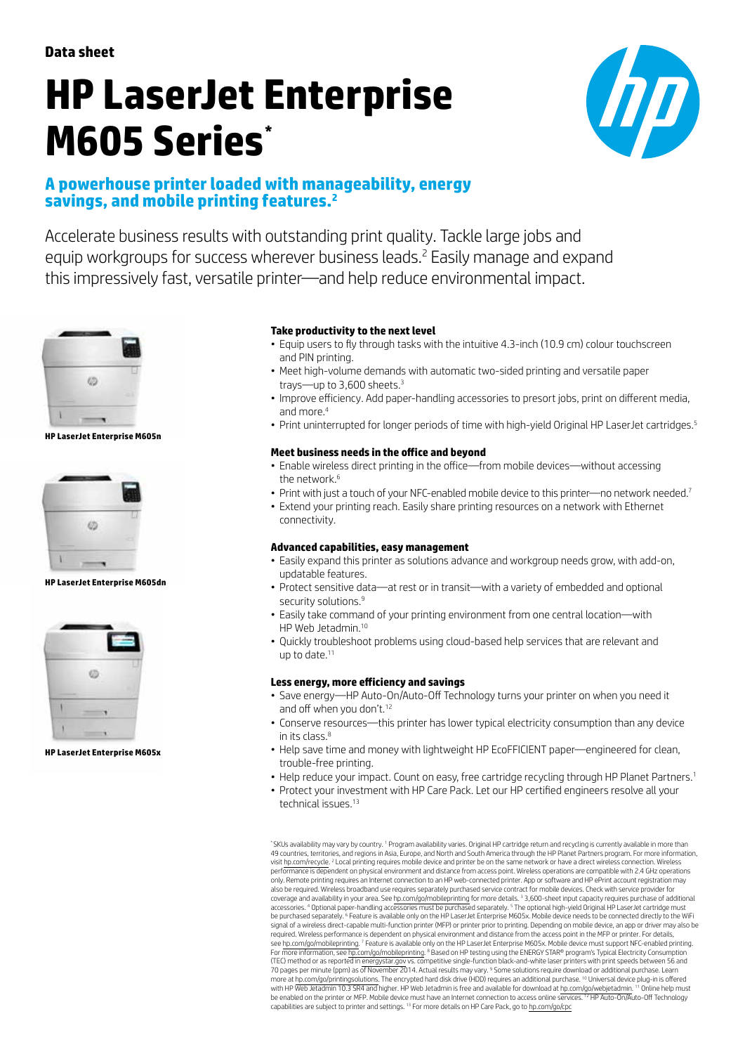**Data sheet**

# **HP LaserJet Enterprise M605 Series\***



# **A powerhouse printer loaded with manageability, energy savings, and mobile printing features.2**

Accelerate business results with outstanding print quality. Tackle large jobs and equip workgroups for success wherever business leads.2 Easily manage and expand this impressively fast, versatile printer—and help reduce environmental impact.



**HP LaserJet Enterprise M605n**



**HP LaserJet Enterprise M605dn**



**HP LaserJet Enterprise M605x**

## **Take productivity to the next level**

- Equip users to fly through tasks with the intuitive 4.3-inch (10.9 cm) colour touchscreen and PIN printing.
- Meet high-volume demands with automatic two-sided printing and versatile paper trays—up to 3,600 sheets.<sup>3</sup>
- Improve efficiency. Add paper-handling accessories to presort jobs, print on different media, and more.4
- Print uninterrupted for longer periods of time with high-vield Original HP LaserJet cartridges.<sup>5</sup>

## **Meet business needs in the office and beyond**

- Enable wireless direct printing in the office—from mobile devices—without accessing the network  $6$
- Print with just a touch of your NFC-enabled mobile device to this printer—no network needed.<sup>7</sup> • Extend your printing reach. Easily share printing resources on a network with Ethernet connectivity.

### **Advanced capabilities, easy management**

- Easily expand this printer as solutions advance and workgroup needs grow, with add-on, updatable features.
- Protect sensitive data—at rest or in transit—with a variety of embedded and optional security solutions.<sup>9</sup>
- Easily take command of your printing environment from one central location—with HP Web Jetadmin.<sup>10</sup>
- • Quickly troubleshoot problems using cloud-based help services that are relevant and up to date. $11$

### **Less energy, more efficiency and savings**

- Save energy—HP Auto-On/Auto-Off Technology turns your printer on when you need it and off when you don't.<sup>12</sup>
- Conserve resources—this printer has lower typical electricity consumption than any device in its class. $8$
- Help save time and money with lightweight HP EcoFFICIENT paper—engineered for clean, trouble-free printing.
- Help reduce your impact. Count on easy, free cartridge recycling through HP Planet Partners.<sup>1</sup>
- Protect your investment with HP Care Pack. Let our HP certified engineers resolve all your technical issues.<sup>13</sup>

\*SKUs availability may vary by country. <sup>1</sup> Program availability varies. Original HP cartridge return and recycling is currently available in more than 49 countries, territories, and regions in Asia, Europe, and North and South America through the HP Planet Partners program. For more information, visit [hp.com/recycle.](http://hp.com/recycle) <sup>2</sup> Local printing requires mobile device and printer be on the same network or have a direct wireless connection. Wireless<br>performance is dependent on physical environment and distance from access po only. Remote printing requires an Internet connection to an HP web-connected printer. App or software and HP ePrint account registration may<br>also be required. Wireless broadband use requires separately purchased service co coverage and availability in your area. See [hp.com/go/mobileprinting](http://hp.com/go/mobileprinting) for more details. <sup>3</sup> 3,600-sheet input capacity requires purchase of additional accessories. " Optional paper-handling accessories must be purchased separately. <sup>5</sup> The optional high-yield Original HP LaserJet cartridge must<br>be purchased separately. <sup>6</sup> Feature is available only on the HP LaserJet Ent signal of a wireless direct-capable multi-function printer (MFP) or printer prior to printing. Depending on mobile device, an app or driver may also be<br>required. Wireless performance is dependent on physical environment an see [hp.com/go/mobileprinting.](http://hp.com/go/mobileprinting) <sup>7</sup> Feature is available only on the HP LaserJet Enterprise M605x. Mobile device must support NFC-enabled printing<br>For more information, see [hp.com/go/mobileprinting](http://hp.com/go/mobileprinting). 8 Based on HP testing usi (TEC) method or as reported in <u>energystar gov</u> vs. competitive single-function black-and-white laser printers with print speeds between 56 and<br>70 pages per minute (ppm) as of November 2014. Actual results may vary. <sup>9</sup> So more at h<u>p.com/go/printingsolutions</u>. The encrypted hard disk drive (HDD) requires an additional purchase. <sup>10</sup> Universal device plug-in is offered<br>with HP Web Jetadmin 10.3 SR4 and higher. HP Web Jetadmin is free and ava capabilities are subject to printer and settings. <sup>13</sup> For more details on HP Care Pack, go to [hp.com/go/cpc](http://hp.com/go/cpc)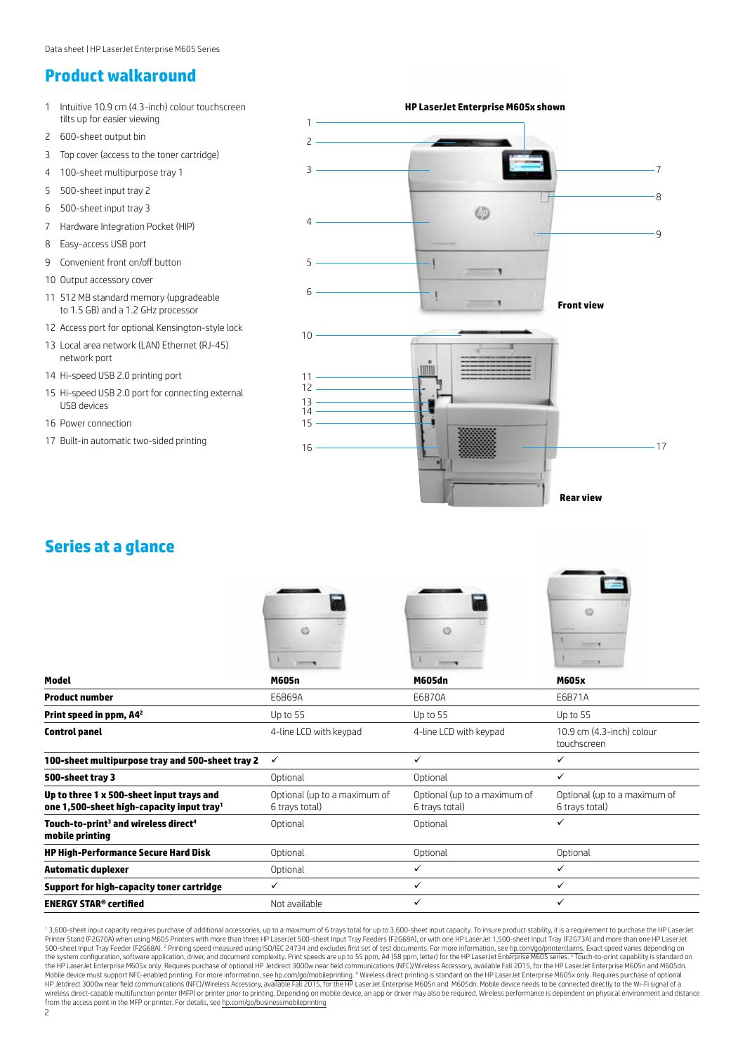# **Product walkaround**

1 Intuitive 10.9 cm (4.3-inch) colour touchscreen **HP LaserJet Enterprise M605x shown** tilts up for easier viewing 1 2 600-sheet output bin  $\overline{\phantom{0}}$ 3 Top cover (access to the toner cartridge) 3 4 100-sheet multipurpose tray 1 7 5 500-sheet input tray 2 8 6 500-sheet input tray 3 Ø 4 7 Hardware Integration Pocket (HIP)  $\alpha$ 8 Easy-access USB port 9 Convenient front on/off button  $\overline{5}$ 10 Output accessory cover 6 11 512 MB standard memory (upgradeable **Front view** to 1.5 GB) and a 1.2 GHz processor 12 Access port for optional Kensington-style lock 10 13 Local area network (LAN) Ethernet (RJ-45) network port umin 14 Hi-speed USB 2.0 printing port 11 12 15 Hi-speed USB 2.0 port for connecting external 13 USB devices  $14$ 16 Power connection 15 17 Built-in automatic two-sided printing 16 17

# **Series at a glance**

| Model                                                                                              | <b>M605n</b>                                   | Ø<br><b>M605dn</b>                             | <b>SHOW: Y</b><br><b>M605x</b>                 |
|----------------------------------------------------------------------------------------------------|------------------------------------------------|------------------------------------------------|------------------------------------------------|
| <b>Product number</b>                                                                              | E6B69A                                         | E6B70A                                         | E6B71A                                         |
| Print speed in ppm, A4 <sup>2</sup>                                                                | Up to 55                                       | Up to 55                                       | Up to 55                                       |
| <b>Control panel</b>                                                                               | 4-line LCD with keypad                         | 4-line LCD with keypad                         | 10.9 cm (4.3-inch) colour<br>touchscreen       |
| 100-sheet multipurpose tray and 500-sheet tray 2                                                   | ✓                                              | $\checkmark$                                   | ✓                                              |
| 500-sheet tray 3                                                                                   | Optional                                       | Optional                                       | ✓                                              |
| Up to three 1 x 500-sheet input trays and<br>one 1,500-sheet high-capacity input tray <sup>1</sup> | Optional (up to a maximum of<br>6 trays total) | Optional (up to a maximum of<br>6 trays total) | Optional (up to a maximum of<br>6 trays total) |
| Touch-to-print <sup>3</sup> and wireless direct <sup>4</sup><br>mobile printing                    | Optional                                       | Optional                                       | ✓                                              |
| HP High-Performance Secure Hard Disk                                                               | Optional                                       | Optional                                       | Optional                                       |
| <b>Automatic duplexer</b>                                                                          | Optional                                       | ✓                                              | ✓                                              |
| Support for high-capacity toner cartridge                                                          | ✓                                              | ✓                                              | ✓                                              |
| <b>ENERGY STAR<sup>®</sup> certified</b>                                                           | Not available                                  | ✓                                              | ✓                                              |

**Rear view**

<sup>1</sup> 3,600-sheet input capacity requires purchase of additional accessories, up to a maximum of 6 trays total for up to 3,600-sheet input capacity. To insure product stability, it is a requirement to purchase the HP LaserJe 500-sheet Input Tray Feeder (F2G68A). <sup>2</sup> Printing speed measured using ISO/IEC 24734 and excludes first set of test documents. For more information, see [hp.com/go/printerclaims](http://hp.com/go/printerclaims). Exact speed varies depending on the system configuration, software application, driver, and document complexity. Print speeds are up to 55 ppm, A4 (58 ppm, letter) for the HP LaserJet Enterprise M605 series. 3 Touch-to-print capability is standard or<br>the Mobile device must support NFC-enabled printing. For more information, see [hp.com/go/mobileprinting.](http://hp.com/go/mobileprinting) " Wireless direct printing is standard on the HP LaserJet Enterprise M605x only. Requires purchase of optional<br>HP Jetdire wireless direct-capable multifunction printer (MFP) or printer prior to printing. Depending on mobile device, an app or driver may also be required. Wireless performance is dependent on physical environment and distance<br>fr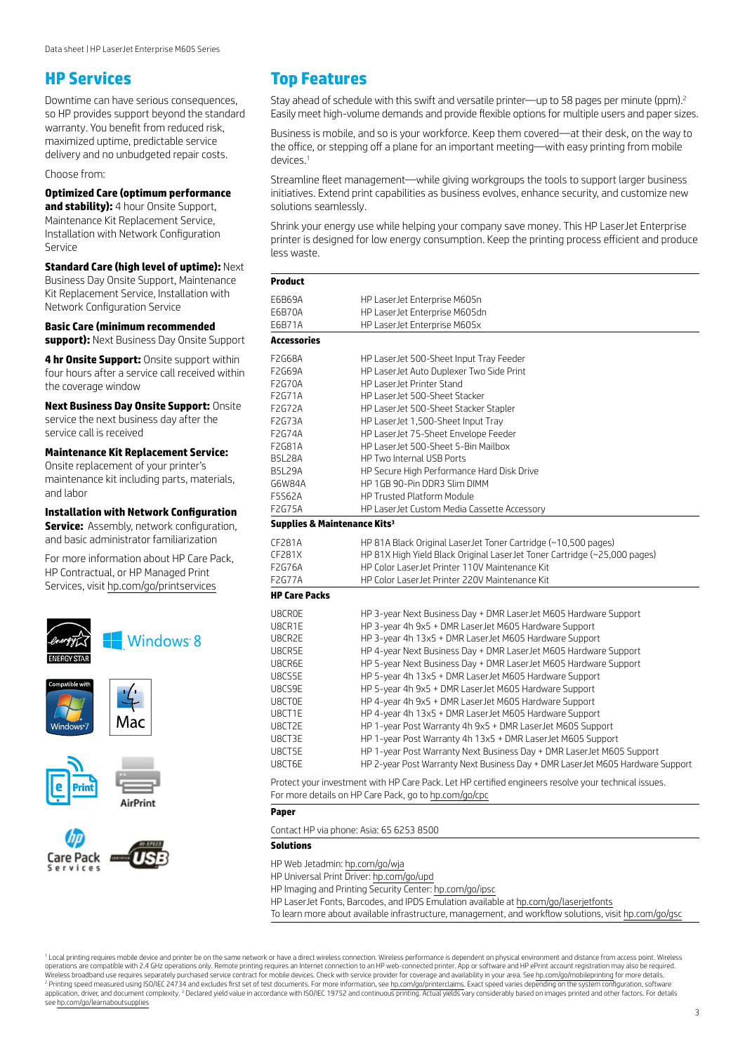## **HP Services**

Downtime can have serious consequences, so HP provides support beyond the standard warranty. You benefit from reduced risk, maximized uptime, predictable service delivery and no unbudgeted repair costs.

Choose from:

## **Optimized Care (optimum performance**

**and stability):** 4 hour Onsite Support, Maintenance Kit Replacement Service, Installation with Network Configuration Service

**Standard Care (high level of uptime):** Next Business Day Onsite Support, Maintenance Kit Replacement Service, Installation with Network Configuration Service

**Basic Care (minimum recommended support):** Next Business Day Onsite Support

**4 hr Onsite Support:** Onsite support within four hours after a service call received within the coverage window

**Next Business Day Onsite Support:** Onsite service the next business day after the service call is received

**Maintenance Kit Replacement Service:** 

Onsite replacement of your printer's maintenance kit including parts, materials, and labor

**Installation with Network Configuration** 

**Service:** Assembly, network configuration, and basic administrator familiarization

For more information about HP Care Pack, HP Contractual, or HP Managed Print Services, visit [hp.com/go/printservices](http://hp.com/go/printservices)



Mac

AirPrint







## **Top Features**

Stay ahead of schedule with this swift and versatile printer—up to 58 pages per minute (ppm).<sup>2</sup> Easily meet high-volume demands and provide flexible options for multiple users and paper sizes.

Business is mobile, and so is your workforce. Keep them covered—at their desk, on the way to the office, or stepping off a plane for an important meeting—with easy printing from mobile devices.

Streamline fleet management—while giving workgroups the tools to support larger business initiatives. Extend print capabilities as business evolves, enhance security, and customize new solutions seamlessly.

Shrink your energy use while helping your company save money. This HP LaserJet Enterprise printer is designed for low energy consumption. Keep the printing process efficient and produce less waste.

| <b>Product</b>       |                                                                                                      |  |  |  |
|----------------------|------------------------------------------------------------------------------------------------------|--|--|--|
| E6B69A               | HP LaserJet Enterprise M605n                                                                         |  |  |  |
| E6B70A               | HP LaserJet Enterprise M605dn                                                                        |  |  |  |
| E6B71A               | HP LaserJet Enterprise M605x                                                                         |  |  |  |
| <b>Accessories</b>   |                                                                                                      |  |  |  |
| F2G68A               | HP LaserJet 500-Sheet Input Tray Feeder                                                              |  |  |  |
| F2G69A               | HP LaserJet Auto Duplexer Two Side Print                                                             |  |  |  |
| <b>F2G70A</b>        | HP LaserJet Printer Stand                                                                            |  |  |  |
| F2G71A               | HP Laser Jet 500-Sheet Stacker                                                                       |  |  |  |
| F2G72A               | HP LaserJet 500-Sheet Stacker Stapler                                                                |  |  |  |
| F2G73A               | HP LaserJet 1,500-Sheet Input Tray                                                                   |  |  |  |
| F2G74A               | HP LaserJet 75-Sheet Envelope Feeder                                                                 |  |  |  |
| F2G81A               | HP LaserJet 500-Sheet 5-Bin Mailbox                                                                  |  |  |  |
| <b>B5L28A</b>        | HP Two Internal USB Ports                                                                            |  |  |  |
| <b>B5L29A</b>        | HP Secure High Performance Hard Disk Drive                                                           |  |  |  |
| G6W84A               | HP 1GB 90-Pin DDR3 Slim DIMM                                                                         |  |  |  |
| F5S62A               | HP Trusted Platform Module                                                                           |  |  |  |
| <b>F2G75A</b>        | HP LaserJet Custom Media Cassette Accessory                                                          |  |  |  |
|                      | Supplies & Maintenance Kits <sup>3</sup>                                                             |  |  |  |
| CF281A               | HP 81A Black Original LaserJet Toner Cartridge (~10,500 pages)                                       |  |  |  |
| CF281X               | HP 81X High Yield Black Original LaserJet Toner Cartridge (~25,000 pages)                            |  |  |  |
| F2G76A               | HP Color LaserJet Printer 110V Maintenance Kit                                                       |  |  |  |
| <b>F2G77A</b>        | HP Color LaserJet Printer 220V Maintenance Kit                                                       |  |  |  |
| <b>HP Care Packs</b> |                                                                                                      |  |  |  |
| U8CR0E               | HP 3-year Next Business Day + DMR LaserJet M605 Hardware Support                                     |  |  |  |
| U8CR1E               | HP 3-year 4h 9x5 + DMR LaserJet M605 Hardware Support                                                |  |  |  |
| U8CR2E               | HP 3-year 4h 13x5 + DMR LaserJet M605 Hardware Support                                               |  |  |  |
| U8CR5E               | HP 4-year Next Business Day + DMR LaserJet M605 Hardware Support                                     |  |  |  |
| U8CR6E               | HP 5-year Next Business Day + DMR LaserJet M605 Hardware Support                                     |  |  |  |
| U8CS5E               | HP 5-year 4h 13x5 + DMR LaserJet M605 Hardware Support                                               |  |  |  |
| U8CS9E               | HP 5-year 4h 9x5 + DMR LaserJet M605 Hardware Support                                                |  |  |  |
| U8CT0E               | HP 4-year 4h 9x5 + DMR LaserJet M605 Hardware Support                                                |  |  |  |
| U8CT1E               | HP 4-year 4h 13x5 + DMR LaserJet M605 Hardware Support                                               |  |  |  |
| U8CT2E               | HP 1-year Post Warranty 4h 9x5 + DMR LaserJet M605 Support                                           |  |  |  |
| U8CT3E               | HP 1-year Post Warranty 4h 13x5 + DMR LaserJet M605 Support                                          |  |  |  |
| U8CT5E               | HP 1-year Post Warranty Next Business Day + DMR LaserJet M605 Support                                |  |  |  |
| U8CT6E               | HP 2-year Post Warranty Next Business Day + DMR LaserJet M605 Hardware Support                       |  |  |  |
|                      | Protect your investment with HP Care Pack. Let HP certified engineers resolve your technical issues. |  |  |  |
|                      | For more details on HP Care Pack, go to hp.com/go/cpc                                                |  |  |  |
| Paper                |                                                                                                      |  |  |  |
|                      | Contact HP via phone: Asia: 65 6253 8500                                                             |  |  |  |
|                      |                                                                                                      |  |  |  |

**Solutions**

HP Web Jetadmin: [hp.com/go/wja](http://hp.com/go/wja)

HP Universal Print Driver: [hp.com/go/upd](http://hp.com/go/upd)

HP Imaging and Printing Security Center: [hp.com/go/ipsc](http://hp.com/go/ipsc)

HP LaserJet Fonts, Barcodes, and IPDS Emulation available at [hp.com/go/laserjetfonts](http://hp.com/go/laserjetfonts)

To learn more about available infrastructure, management, and workflow solutions, visit [hp.com/go/gsc](http://hp.com/go/gsc)

<sup>1</sup> Local printing requires mobile device and printer be on the same network or have a direct wireless connection. Wireless performance is dependent on physical environment and distance from access point. Wireless operations are compatible with 2.4 GHz operations only. Remote printing requires an Internet connection to an HP web-connected printer. App or software and HP ePrint account registration may also be required. Wireless broadband use requires separately purchased service contract for mobile devices. Check with service provider for coverage and availability in your area. See [hp.com/go/mobileprinting](http://hp.com/go/mobileprinting) for more details. <sup>2</sup> Printing speed measured using ISO/IEC 24734 and excludes first set of test documents. For more information, see [hp.com/go/printerclaims.](http://hp.com/go/printerclaims) Exact speed varies depending on the system configuration, software<br>application, d see [hp.com/go/learnaboutsupplies](http://hp.com/go/learnaboutsupplies)